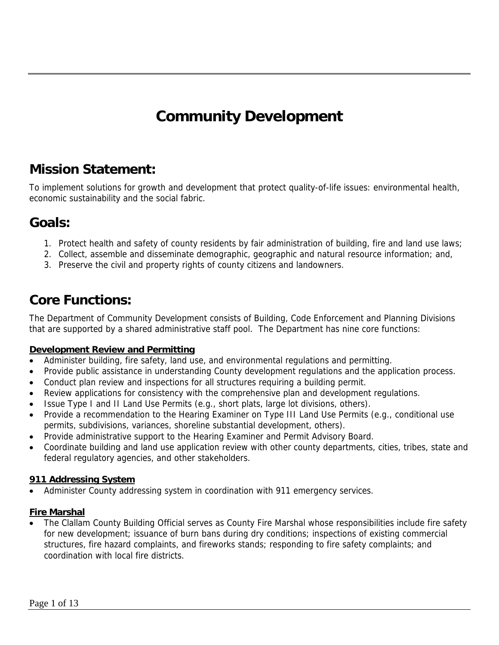# **Community Development**

# **Mission Statement:**

To implement solutions for growth and development that protect quality-of-life issues: environmental health, economic sustainability and the social fabric.

# **Goals:**

- 1. Protect health and safety of county residents by fair administration of building, fire and land use laws;
- 2. Collect, assemble and disseminate demographic, geographic and natural resource information; and, 3. Preserve the civil and property rights of county citizens and landowners.

# **Core Functions:**

The Department of Community Development consists of Building, Code Enforcement and Planning Divisions that are supported by a shared administrative staff pool. The Department has nine core functions:

#### **Development Review and Permitting**

- Administer building, fire safety, land use, and environmental regulations and permitting.
- Provide public assistance in understanding County development regulations and the application process.
- Conduct plan review and inspections for all structures requiring a building permit.
- Review applications for consistency with the comprehensive plan and development regulations.
- Issue Type I and II Land Use Permits (e.g., short plats, large lot divisions, others).
- Provide a recommendation to the Hearing Examiner on Type III Land Use Permits (e.g., conditional use permits, subdivisions, variances, shoreline substantial development, others).
- Provide administrative support to the Hearing Examiner and Permit Advisory Board.
- Coordinate building and land use application review with other county departments, cities, tribes, state and federal regulatory agencies, and other stakeholders.

#### **911 Addressing System**

• Administer County addressing system in coordination with 911 emergency services.

#### **Fire Marshal**

• The Clallam County Building Official serves as County Fire Marshal whose responsibilities include fire safety for new development; issuance of burn bans during dry conditions; inspections of existing commercial structures, fire hazard complaints, and fireworks stands; responding to fire safety complaints; and coordination with local fire districts.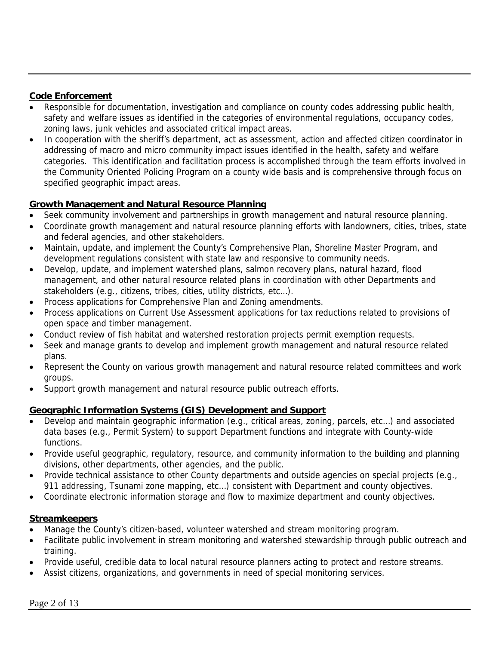#### **Code Enforcement**

- Responsible for documentation, investigation and compliance on county codes addressing public health, safety and welfare issues as identified in the categories of environmental regulations, occupancy codes, zoning laws, junk vehicles and associated critical impact areas.
- In cooperation with the sheriff's department, act as assessment, action and affected citizen coordinator in addressing of macro and micro community impact issues identified in the health, safety and welfare categories. This identification and facilitation process is accomplished through the team efforts involved in the Community Oriented Policing Program on a county wide basis and is comprehensive through focus on specified geographic impact areas.

## **Growth Management and Natural Resource Planning**

- Seek community involvement and partnerships in growth management and natural resource planning.
- Coordinate growth management and natural resource planning efforts with landowners, cities, tribes, state and federal agencies, and other stakeholders.
- Maintain, update, and implement the County's Comprehensive Plan, Shoreline Master Program, and development regulations consistent with state law and responsive to community needs.
- Develop, update, and implement watershed plans, salmon recovery plans, natural hazard, flood management, and other natural resource related plans in coordination with other Departments and stakeholders (e.g., citizens, tribes, cities, utility districts, etc…).
- Process applications for Comprehensive Plan and Zoning amendments.
- Process applications on Current Use Assessment applications for tax reductions related to provisions of open space and timber management.
- Conduct review of fish habitat and watershed restoration projects permit exemption requests.
- Seek and manage grants to develop and implement growth management and natural resource related plans.
- Represent the County on various growth management and natural resource related committees and work groups.
- Support growth management and natural resource public outreach efforts.

## **Geographic Information Systems (GIS) Development and Support**

- Develop and maintain geographic information (e.g., critical areas, zoning, parcels, etc…) and associated data bases (e.g., Permit System) to support Department functions and integrate with County-wide functions.
- Provide useful geographic, regulatory, resource, and community information to the building and planning divisions, other departments, other agencies, and the public.
- Provide technical assistance to other County departments and outside agencies on special projects (e.g., 911 addressing, Tsunami zone mapping, etc...) consistent with Department and county objectives.
- Coordinate electronic information storage and flow to maximize department and county objectives.

#### **Streamkeepers**

- Manage the County's citizen-based, volunteer watershed and stream monitoring program.
- Facilitate public involvement in stream monitoring and watershed stewardship through public outreach and training.
- Provide useful, credible data to local natural resource planners acting to protect and restore streams.
- Assist citizens, organizations, and governments in need of special monitoring services.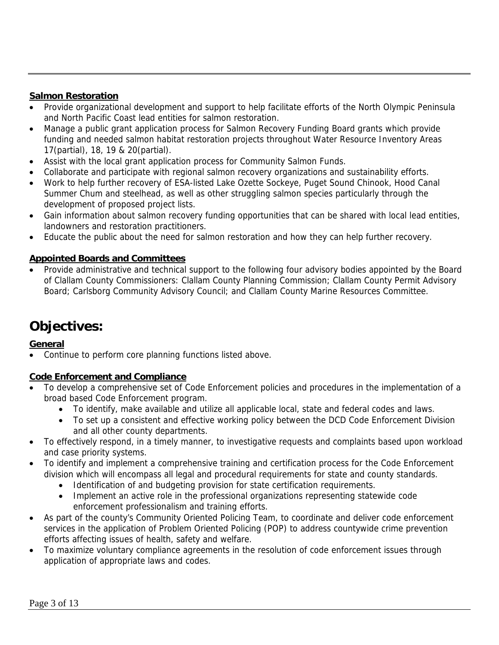#### **Salmon Restoration**

- Provide organizational development and support to help facilitate efforts of the North Olympic Peninsula and North Pacific Coast lead entities for salmon restoration.
- Manage a public grant application process for Salmon Recovery Funding Board grants which provide funding and needed salmon habitat restoration projects throughout Water Resource Inventory Areas 17(partial), 18, 19 & 20(partial).
- Assist with the local grant application process for Community Salmon Funds.
- Collaborate and participate with regional salmon recovery organizations and sustainability efforts.
- Work to help further recovery of ESA-listed Lake Ozette Sockeye, Puget Sound Chinook, Hood Canal Summer Chum and steelhead, as well as other struggling salmon species particularly through the development of proposed project lists.
- Gain information about salmon recovery funding opportunities that can be shared with local lead entities, landowners and restoration practitioners.
- Educate the public about the need for salmon restoration and how they can help further recovery.

## **Appointed Boards and Committees**

• Provide administrative and technical support to the following four advisory bodies appointed by the Board of Clallam County Commissioners: Clallam County Planning Commission; Clallam County Permit Advisory Board; Carlsborg Community Advisory Council; and Clallam County Marine Resources Committee.

# **Objectives:**

## **General**

• Continue to perform core planning functions listed above.

#### **Code Enforcement and Compliance**

- To develop a comprehensive set of Code Enforcement policies and procedures in the implementation of a broad based Code Enforcement program.
	- To identify, make available and utilize all applicable local, state and federal codes and laws.
	- To set up a consistent and effective working policy between the DCD Code Enforcement Division and all other county departments.
- To effectively respond, in a timely manner, to investigative requests and complaints based upon workload and case priority systems.
- To identify and implement a comprehensive training and certification process for the Code Enforcement division which will encompass all legal and procedural requirements for state and county standards.
	- Identification of and budgeting provision for state certification requirements.
	- Implement an active role in the professional organizations representing statewide code enforcement professionalism and training efforts.
- As part of the county's Community Oriented Policing Team, to coordinate and deliver code enforcement services in the application of Problem Oriented Policing (POP) to address countywide crime prevention efforts affecting issues of health, safety and welfare.
- To maximize voluntary compliance agreements in the resolution of code enforcement issues through application of appropriate laws and codes.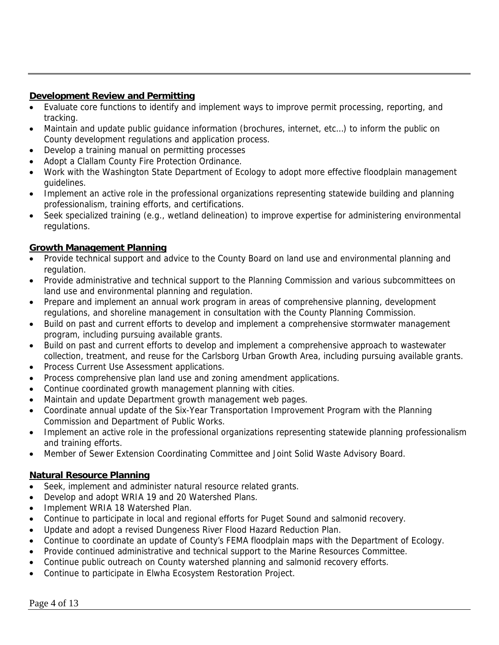### **Development Review and Permitting**

- Evaluate core functions to identify and implement ways to improve permit processing, reporting, and tracking.
- Maintain and update public guidance information (brochures, internet, etc…) to inform the public on County development regulations and application process.
- Develop a training manual on permitting processes
- Adopt a Clallam County Fire Protection Ordinance.
- Work with the Washington State Department of Ecology to adopt more effective floodplain management guidelines.
- Implement an active role in the professional organizations representing statewide building and planning professionalism, training efforts, and certifications.
- Seek specialized training (e.g., wetland delineation) to improve expertise for administering environmental regulations.

## **Growth Management Planning**

- Provide technical support and advice to the County Board on land use and environmental planning and regulation.
- Provide administrative and technical support to the Planning Commission and various subcommittees on land use and environmental planning and regulation.
- Prepare and implement an annual work program in areas of comprehensive planning, development regulations, and shoreline management in consultation with the County Planning Commission.
- Build on past and current efforts to develop and implement a comprehensive stormwater management program, including pursuing available grants.
- Build on past and current efforts to develop and implement a comprehensive approach to wastewater collection, treatment, and reuse for the Carlsborg Urban Growth Area, including pursuing available grants.
- Process Current Use Assessment applications.
- Process comprehensive plan land use and zoning amendment applications.
- Continue coordinated growth management planning with cities.
- Maintain and update Department growth management web pages.
- Coordinate annual update of the Six-Year Transportation Improvement Program with the Planning Commission and Department of Public Works.
- Implement an active role in the professional organizations representing statewide planning professionalism and training efforts.
- Member of Sewer Extension Coordinating Committee and Joint Solid Waste Advisory Board.

#### **Natural Resource Planning**

- Seek, implement and administer natural resource related grants.
- Develop and adopt WRIA 19 and 20 Watershed Plans.
- Implement WRIA 18 Watershed Plan.
- Continue to participate in local and regional efforts for Puget Sound and salmonid recovery.
- Update and adopt a revised Dungeness River Flood Hazard Reduction Plan.
- Continue to coordinate an update of County's FEMA floodplain maps with the Department of Ecology.
- Provide continued administrative and technical support to the Marine Resources Committee.
- Continue public outreach on County watershed planning and salmonid recovery efforts.
- Continue to participate in Elwha Ecosystem Restoration Project.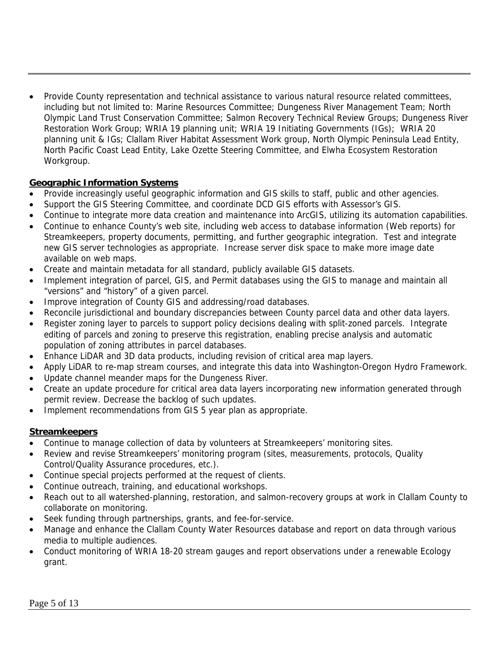• Provide County representation and technical assistance to various natural resource related committees, including but not limited to: Marine Resources Committee; Dungeness River Management Team; North Olympic Land Trust Conservation Committee; Salmon Recovery Technical Review Groups; Dungeness River Restoration Work Group; WRIA 19 planning unit; WRIA 19 Initiating Governments (IGs); WRIA 20 planning unit & IGs; Clallam River Habitat Assessment Work group, North Olympic Peninsula Lead Entity, North Pacific Coast Lead Entity, Lake Ozette Steering Committee, and Elwha Ecosystem Restoration Workgroup.

#### **Geographic Information Systems**

- Provide increasingly useful geographic information and GIS skills to staff, public and other agencies.
- Support the GIS Steering Committee, and coordinate DCD GIS efforts with Assessor's GIS.
- Continue to integrate more data creation and maintenance into ArcGIS, utilizing its automation capabilities.
- Continue to enhance County's web site, including web access to database information (Web reports) for Streamkeepers, property documents, permitting, and further geographic integration. Test and integrate new GIS server technologies as appropriate. Increase server disk space to make more image date available on web maps.
- Create and maintain metadata for all standard, publicly available GIS datasets.
- Implement integration of parcel, GIS, and Permit databases using the GIS to manage and maintain all "versions" and "history" of a given parcel.
- Improve integration of County GIS and addressing/road databases.
- Reconcile jurisdictional and boundary discrepancies between County parcel data and other data layers.
- Register zoning layer to parcels to support policy decisions dealing with split-zoned parcels. Integrate editing of parcels and zoning to preserve this registration, enabling precise analysis and automatic population of zoning attributes in parcel databases.
- Enhance LiDAR and 3D data products, including revision of critical area map layers.
- Apply LiDAR to re-map stream courses, and integrate this data into Washington-Oregon Hydro Framework.
- Update channel meander maps for the Dungeness River.
- Create an update procedure for critical area data layers incorporating new information generated through permit review. Decrease the backlog of such updates.
- Implement recommendations from GIS 5 year plan as appropriate.

#### **Streamkeepers**

- Continue to manage collection of data by volunteers at Streamkeepers' monitoring sites.
- Review and revise Streamkeepers' monitoring program (sites, measurements, protocols, Quality Control/Quality Assurance procedures, etc.).
- Continue special projects performed at the request of clients.
- Continue outreach, training, and educational workshops.
- Reach out to all watershed-planning, restoration, and salmon-recovery groups at work in Clallam County to collaborate on monitoring.
- Seek funding through partnerships, grants, and fee-for-service.
- Manage and enhance the Clallam County Water Resources database and report on data through various media to multiple audiences.
- Conduct monitoring of WRIA 18-20 stream gauges and report observations under a renewable Ecology grant.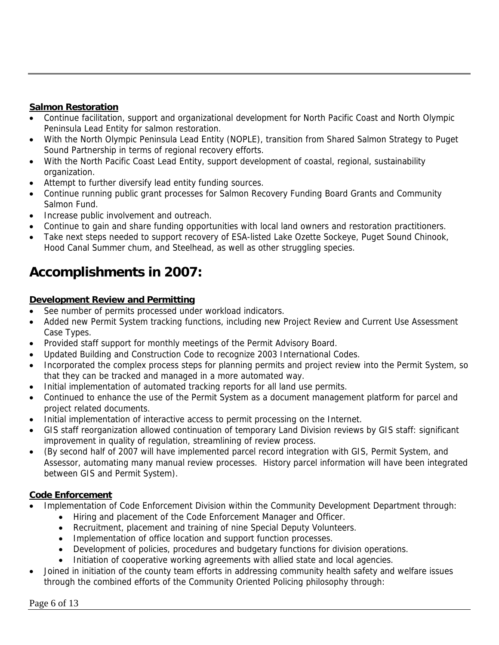# **Salmon Restoration**

- Continue facilitation, support and organizational development for North Pacific Coast and North Olympic Peninsula Lead Entity for salmon restoration.
- With the North Olympic Peninsula Lead Entity (NOPLE), transition from Shared Salmon Strategy to Puget Sound Partnership in terms of regional recovery efforts.
- With the North Pacific Coast Lead Entity, support development of coastal, regional, sustainability organization.
- Attempt to further diversify lead entity funding sources.
- Continue running public grant processes for Salmon Recovery Funding Board Grants and Community Salmon Fund.
- Increase public involvement and outreach.
- Continue to gain and share funding opportunities with local land owners and restoration practitioners.
- Take next steps needed to support recovery of ESA-listed Lake Ozette Sockeye, Puget Sound Chinook, Hood Canal Summer chum, and Steelhead, as well as other struggling species.

# **Accomplishments in 2007:**

# **Development Review and Permitting**

- See number of permits processed under workload indicators.
- Added new Permit System tracking functions, including new Project Review and Current Use Assessment Case Types.
- Provided staff support for monthly meetings of the Permit Advisory Board.
- Updated Building and Construction Code to recognize 2003 International Codes.
- Incorporated the complex process steps for planning permits and project review into the Permit System, so that they can be tracked and managed in a more automated way.
- Initial implementation of automated tracking reports for all land use permits.
- Continued to enhance the use of the Permit System as a document management platform for parcel and project related documents.
- Initial implementation of interactive access to permit processing on the Internet.
- GIS staff reorganization allowed continuation of temporary Land Division reviews by GIS staff: significant improvement in quality of regulation, streamlining of review process.
- (By second half of 2007 will have implemented parcel record integration with GIS, Permit System, and Assessor, automating many manual review processes. History parcel information will have been integrated between GIS and Permit System).

# **Code Enforcement**

- Implementation of Code Enforcement Division within the Community Development Department through:
	- Hiring and placement of the Code Enforcement Manager and Officer.
	- Recruitment, placement and training of nine Special Deputy Volunteers.
	- Implementation of office location and support function processes.
	- Development of policies, procedures and budgetary functions for division operations.
	- Initiation of cooperative working agreements with allied state and local agencies.
- Joined in initiation of the county team efforts in addressing community health safety and welfare issues through the combined efforts of the Community Oriented Policing philosophy through: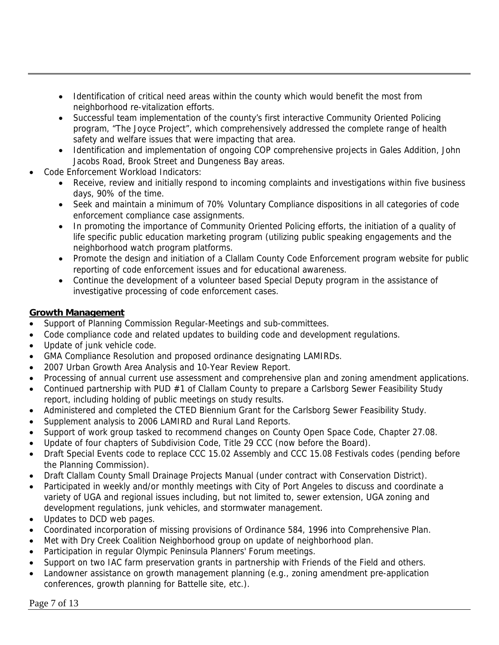- Identification of critical need areas within the county which would benefit the most from neighborhood re-vitalization efforts.
- Successful team implementation of the county's first interactive Community Oriented Policing program, "The Joyce Project", which comprehensively addressed the complete range of health safety and welfare issues that were impacting that area.
- Identification and implementation of ongoing COP comprehensive projects in Gales Addition, John Jacobs Road, Brook Street and Dungeness Bay areas.
- Code Enforcement Workload Indicators:
	- Receive, review and initially respond to incoming complaints and investigations within five business days, 90% of the time.
	- Seek and maintain a minimum of 70% Voluntary Compliance dispositions in all categories of code enforcement compliance case assignments.
	- In promoting the importance of Community Oriented Policing efforts, the initiation of a quality of life specific public education marketing program (utilizing public speaking engagements and the neighborhood watch program platforms.
	- Promote the design and initiation of a Clallam County Code Enforcement program website for public reporting of code enforcement issues and for educational awareness.
	- Continue the development of a volunteer based Special Deputy program in the assistance of investigative processing of code enforcement cases.

### **Growth Management**

- Support of Planning Commission Regular-Meetings and sub-committees.
- Code compliance code and related updates to building code and development regulations.
- Update of junk vehicle code.
- GMA Compliance Resolution and proposed ordinance designating LAMIRDs.
- 2007 Urban Growth Area Analysis and 10-Year Review Report.
- Processing of annual current use assessment and comprehensive plan and zoning amendment applications.
- Continued partnership with PUD #1 of Clallam County to prepare a Carlsborg Sewer Feasibility Study report, including holding of public meetings on study results.
- Administered and completed the CTED Biennium Grant for the Carlsborg Sewer Feasibility Study.
- Supplement analysis to 2006 LAMIRD and Rural Land Reports.
- Support of work group tasked to recommend changes on County Open Space Code, Chapter 27.08.
- Update of four chapters of Subdivision Code, Title 29 CCC (now before the Board).
- Draft Special Events code to replace CCC 15.02 Assembly and CCC 15.08 Festivals codes (pending before the Planning Commission).
- Draft Clallam County Small Drainage Projects Manual (under contract with Conservation District).
- Participated in weekly and/or monthly meetings with City of Port Angeles to discuss and coordinate a variety of UGA and regional issues including, but not limited to, sewer extension, UGA zoning and development regulations, junk vehicles, and stormwater management.
- Updates to DCD web pages.
- Coordinated incorporation of missing provisions of Ordinance 584, 1996 into Comprehensive Plan.
- Met with Dry Creek Coalition Neighborhood group on update of neighborhood plan.
- Participation in regular Olympic Peninsula Planners' Forum meetings.
- Support on two IAC farm preservation grants in partnership with Friends of the Field and others.
- Landowner assistance on growth management planning (e.g., zoning amendment pre-application conferences, growth planning for Battelle site, etc.).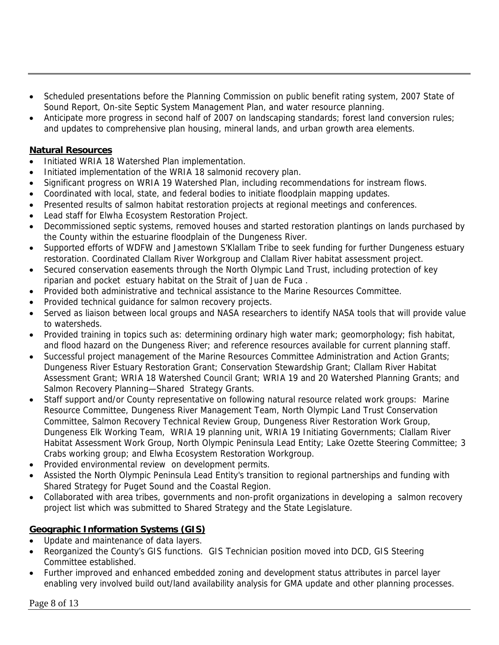- Scheduled presentations before the Planning Commission on public benefit rating system, 2007 State of Sound Report, On-site Septic System Management Plan, and water resource planning.
- Anticipate more progress in second half of 2007 on landscaping standards; forest land conversion rules; and updates to comprehensive plan housing, mineral lands, and urban growth area elements.

### **Natural Resources**

- Initiated WRIA 18 Watershed Plan implementation.
- Initiated implementation of the WRIA 18 salmonid recovery plan.
- Significant progress on WRIA 19 Watershed Plan, including recommendations for instream flows.
- Coordinated with local, state, and federal bodies to initiate floodplain mapping updates.
- Presented results of salmon habitat restoration projects at regional meetings and conferences.
- Lead staff for Elwha Ecosystem Restoration Project.
- Decommissioned septic systems, removed houses and started restoration plantings on lands purchased by the County within the estuarine floodplain of the Dungeness River.
- Supported efforts of WDFW and Jamestown S'Klallam Tribe to seek funding for further Dungeness estuary restoration. Coordinated Clallam River Workgroup and Clallam River habitat assessment project.
- Secured conservation easements through the North Olympic Land Trust, including protection of key riparian and pocket estuary habitat on the Strait of Juan de Fuca .
- Provided both administrative and technical assistance to the Marine Resources Committee.
- Provided technical guidance for salmon recovery projects.
- Served as liaison between local groups and NASA researchers to identify NASA tools that will provide value to watersheds.
- Provided training in topics such as: determining ordinary high water mark; geomorphology; fish habitat, and flood hazard on the Dungeness River; and reference resources available for current planning staff.
- Successful project management of the Marine Resources Committee Administration and Action Grants; Dungeness River Estuary Restoration Grant; Conservation Stewardship Grant; Clallam River Habitat Assessment Grant; WRIA 18 Watershed Council Grant; WRIA 19 and 20 Watershed Planning Grants; and Salmon Recovery Planning—Shared Strategy Grants.
- Staff support and/or County representative on following natural resource related work groups: Marine Resource Committee, Dungeness River Management Team, North Olympic Land Trust Conservation Committee, Salmon Recovery Technical Review Group, Dungeness River Restoration Work Group, Dungeness Elk Working Team, WRIA 19 planning unit, WRIA 19 Initiating Governments; Clallam River Habitat Assessment Work Group, North Olympic Peninsula Lead Entity; Lake Ozette Steering Committee; 3 Crabs working group; and Elwha Ecosystem Restoration Workgroup.
- Provided environmental review on development permits.
- Assisted the North Olympic Peninsula Lead Entity's transition to regional partnerships and funding with Shared Strategy for Puget Sound and the Coastal Region.
- Collaborated with area tribes, governments and non-profit organizations in developing a salmon recovery project list which was submitted to Shared Strategy and the State Legislature.

## **Geographic Information Systems (GIS)**

- Update and maintenance of data layers.
- Reorganized the County's GIS functions. GIS Technician position moved into DCD, GIS Steering Committee established.
- Further improved and enhanced embedded zoning and development status attributes in parcel layer enabling very involved build out/land availability analysis for GMA update and other planning processes.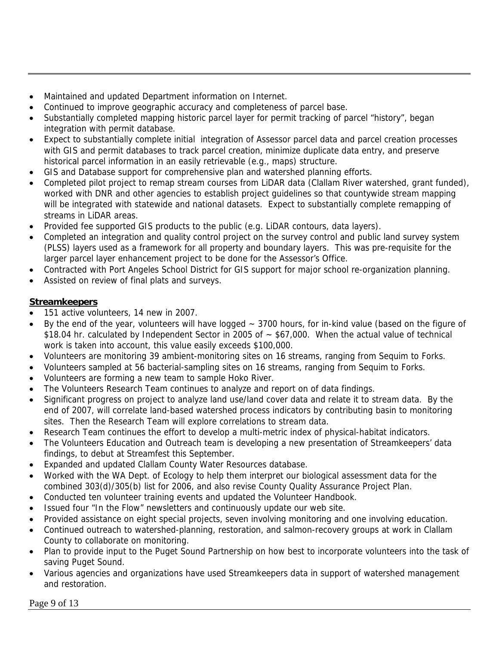- Maintained and updated Department information on Internet.
- Continued to improve geographic accuracy and completeness of parcel base.
- Substantially completed mapping historic parcel layer for permit tracking of parcel "history", began integration with permit database.
- Expect to substantially complete initial integration of Assessor parcel data and parcel creation processes with GIS and permit databases to track parcel creation, minimize duplicate data entry, and preserve historical parcel information in an easily retrievable (e.g., maps) structure.
- GIS and Database support for comprehensive plan and watershed planning efforts.
- Completed pilot project to remap stream courses from LiDAR data (Clallam River watershed, grant funded), worked with DNR and other agencies to establish project guidelines so that countywide stream mapping will be integrated with statewide and national datasets. Expect to substantially complete remapping of streams in LiDAR areas.
- Provided fee supported GIS products to the public (e.g. LiDAR contours, data layers).
- Completed an integration and quality control project on the survey control and public land survey system (PLSS) layers used as a framework for all property and boundary layers. This was pre-requisite for the larger parcel layer enhancement project to be done for the Assessor's Office.
- Contracted with Port Angeles School District for GIS support for major school re-organization planning.
- Assisted on review of final plats and surveys.

### **Streamkeepers**

- 151 active volunteers, 14 new in 2007.
- By the end of the year, volunteers will have logged  $\sim$  3700 hours, for in-kind value (based on the figure of \$18.04 hr. calculated by Independent Sector in 2005 of ~ \$67,000. When the actual value of technical work is taken into account, this value easily exceeds \$100,000.
- Volunteers are monitoring 39 ambient-monitoring sites on 16 streams, ranging from Sequim to Forks.
- Volunteers sampled at 56 bacterial-sampling sites on 16 streams, ranging from Sequim to Forks.
- Volunteers are forming a new team to sample Hoko River.
- The Volunteers Research Team continues to analyze and report on of data findings.
- Significant progress on project to analyze land use/land cover data and relate it to stream data. By the end of 2007, will correlate land-based watershed process indicators by contributing basin to monitoring sites. Then the Research Team will explore correlations to stream data.
- Research Team continues the effort to develop a multi-metric index of physical-habitat indicators.
- The Volunteers Education and Outreach team is developing a new presentation of Streamkeepers' data findings, to debut at Streamfest this September.
- Expanded and updated Clallam County Water Resources database.
- Worked with the WA Dept. of Ecology to help them interpret our biological assessment data for the combined 303(d)/305(b) list for 2006, and also revise County Quality Assurance Project Plan.
- Conducted ten volunteer training events and updated the Volunteer Handbook.
- Issued four "In the Flow" newsletters and continuously update our web site.
- Provided assistance on eight special projects, seven involving monitoring and one involving education.
- Continued outreach to watershed-planning, restoration, and salmon-recovery groups at work in Clallam County to collaborate on monitoring.
- Plan to provide input to the Puget Sound Partnership on how best to incorporate volunteers into the task of saving Puget Sound.
- Various agencies and organizations have used Streamkeepers data in support of watershed management and restoration.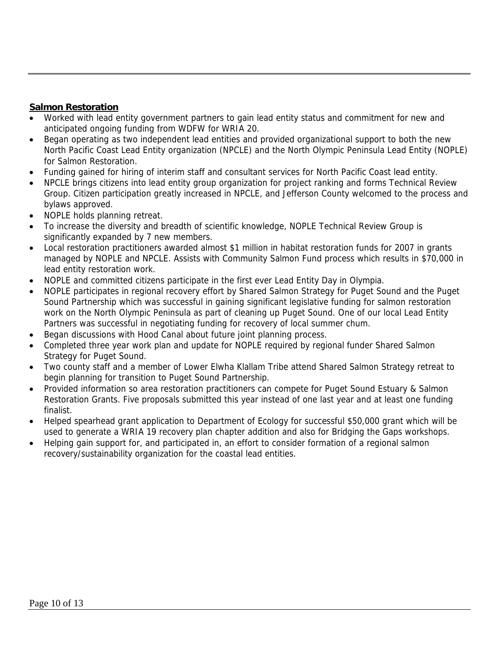### **Salmon Restoration**

- Worked with lead entity government partners to gain lead entity status and commitment for new and anticipated ongoing funding from WDFW for WRIA 20.
- Began operating as two independent lead entities and provided organizational support to both the new North Pacific Coast Lead Entity organization (NPCLE) and the North Olympic Peninsula Lead Entity (NOPLE) for Salmon Restoration.
- Funding gained for hiring of interim staff and consultant services for North Pacific Coast lead entity.
- NPCLE brings citizens into lead entity group organization for project ranking and forms Technical Review Group. Citizen participation greatly increased in NPCLE, and Jefferson County welcomed to the process and bylaws approved.
- NOPLE holds planning retreat.
- To increase the diversity and breadth of scientific knowledge, NOPLE Technical Review Group is significantly expanded by 7 new members.
- Local restoration practitioners awarded almost \$1 million in habitat restoration funds for 2007 in grants managed by NOPLE and NPCLE. Assists with Community Salmon Fund process which results in \$70,000 in lead entity restoration work.
- NOPLE and committed citizens participate in the first ever Lead Entity Day in Olympia.
- NOPLE participates in regional recovery effort by Shared Salmon Strategy for Puget Sound and the Puget Sound Partnership which was successful in gaining significant legislative funding for salmon restoration work on the North Olympic Peninsula as part of cleaning up Puget Sound. One of our local Lead Entity Partners was successful in negotiating funding for recovery of local summer chum.
- Began discussions with Hood Canal about future joint planning process.
- Completed three year work plan and update for NOPLE required by regional funder Shared Salmon Strategy for Puget Sound.
- Two county staff and a member of Lower Elwha Klallam Tribe attend Shared Salmon Strategy retreat to begin planning for transition to Puget Sound Partnership.
- Provided information so area restoration practitioners can compete for Puget Sound Estuary & Salmon Restoration Grants. Five proposals submitted this year instead of one last year and at least one funding finalist.
- Helped spearhead grant application to Department of Ecology for successful \$50,000 grant which will be used to generate a WRIA 19 recovery plan chapter addition and also for Bridging the Gaps workshops.
- Helping gain support for, and participated in, an effort to consider formation of a regional salmon recovery/sustainability organization for the coastal lead entities.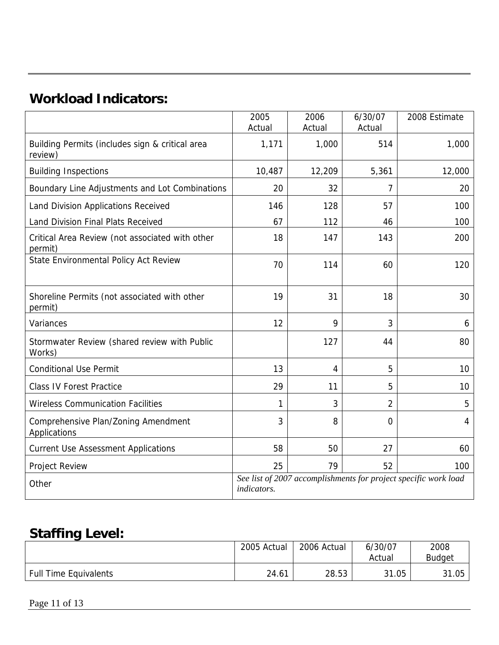# **Workload Indicators:**

|                                                            | 2005<br>Actual                                                                 | 2006<br>Actual | 6/30/07<br>Actual | 2008 Estimate |
|------------------------------------------------------------|--------------------------------------------------------------------------------|----------------|-------------------|---------------|
| Building Permits (includes sign & critical area<br>review) | 1,171                                                                          | 1,000          | 514               | 1,000         |
| <b>Building Inspections</b>                                | 10,487                                                                         | 12,209         | 5,361             | 12,000        |
| Boundary Line Adjustments and Lot Combinations             | 20                                                                             | 32             | 7                 | 20            |
| Land Division Applications Received                        | 146                                                                            | 128            | 57                | 100           |
| Land Division Final Plats Received                         | 67                                                                             | 112            | 46                | 100           |
| Critical Area Review (not associated with other<br>permit) | 18                                                                             | 147            | 143               | 200           |
| State Environmental Policy Act Review                      | 70                                                                             | 114            | 60                | 120           |
| Shoreline Permits (not associated with other<br>permit)    | 19                                                                             | 31             | 18                | 30            |
| Variances                                                  | 12                                                                             | 9              | 3                 | 6             |
| Stormwater Review (shared review with Public<br>Works)     |                                                                                | 127            | 44                | 80            |
| <b>Conditional Use Permit</b>                              | 13                                                                             | 4              | 5                 | 10            |
| <b>Class IV Forest Practice</b>                            | 29                                                                             | 11             | 5                 | 10            |
| <b>Wireless Communication Facilities</b>                   | 1                                                                              | 3              | $\overline{2}$    | 5             |
| Comprehensive Plan/Zoning Amendment<br>Applications        | 3                                                                              | 8              | 0                 | 4             |
| <b>Current Use Assessment Applications</b>                 | 58                                                                             | 50             | 27                | 60            |
| Project Review                                             | 25                                                                             | 79             | 52                | 100           |
| Other                                                      | See list of 2007 accomplishments for project specific work load<br>indicators. |                |                   |               |

# **Staffing Level:**

|                              | 2005 Actual | 2006 Actual | 6/30/07 | 2008          |
|------------------------------|-------------|-------------|---------|---------------|
|                              |             |             | Actual  | <b>Budget</b> |
| <b>Full Time Equivalents</b> | 24.61       | 28.53       | 31.05   | 31.05         |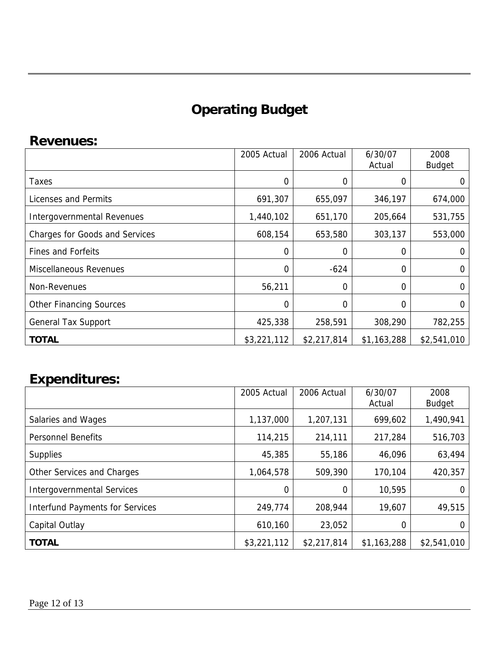# **Operating Budget**

# **Revenues:**

|                                       | 2005 Actual    | 2006 Actual | 6/30/07<br>Actual | 2008<br><b>Budget</b> |
|---------------------------------------|----------------|-------------|-------------------|-----------------------|
| Taxes                                 | $\overline{0}$ | 0           | 0                 |                       |
| Licenses and Permits                  | 691,307        | 655,097     | 346,197           | 674,000               |
| Intergovernmental Revenues            | 1,440,102      | 651,170     | 205,664           | 531,755               |
| <b>Charges for Goods and Services</b> | 608,154        | 653,580     | 303,137           | 553,000               |
| <b>Fines and Forfeits</b>             | 0              | 0           | 0                 | 0                     |
| <b>Miscellaneous Revenues</b>         | $\Omega$       | $-624$      | 0                 | 0                     |
| Non-Revenues                          | 56,211         | 0           | 0                 | ∩                     |
| <b>Other Financing Sources</b>        | $\overline{0}$ | 0           | 0                 |                       |
| <b>General Tax Support</b>            | 425,338        | 258,591     | 308,290           | 782,255               |
| <b>TOTAL</b>                          | \$3,221,112    | \$2,217,814 | \$1,163,288       | \$2,541,010           |

# **Expenditures:**

|                                        | 2005 Actual | 2006 Actual | 6/30/07<br>Actual | 2008<br><b>Budget</b> |
|----------------------------------------|-------------|-------------|-------------------|-----------------------|
| Salaries and Wages                     | 1,137,000   | 1,207,131   | 699,602           | 1,490,941             |
| <b>Personnel Benefits</b>              | 114,215     | 214,111     | 217,284           | 516,703               |
| <b>Supplies</b>                        | 45,385      | 55,186      | 46,096            | 63,494                |
| Other Services and Charges             | 1,064,578   | 509,390     | 170,104           | 420,357               |
| <b>Intergovernmental Services</b>      | $\Omega$    | 0           | 10,595            |                       |
| <b>Interfund Payments for Services</b> | 249,774     | 208,944     | 19,607            | 49,515                |
| Capital Outlay                         | 610,160     | 23,052      | 0                 |                       |
| <b>TOTAL</b>                           | \$3,221,112 | \$2,217,814 | \$1,163,288       | \$2,541,010           |